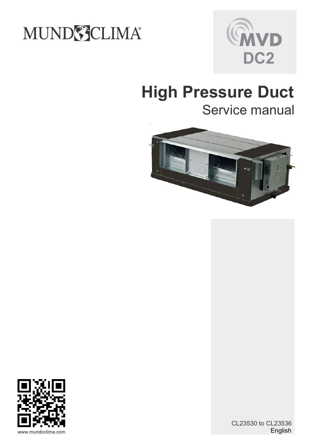## MUNDSCLIMA®



# **Service manual**





English CL23530 to CL23536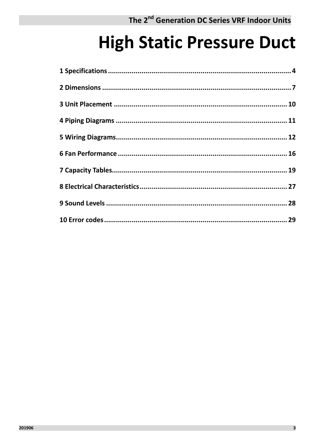## **High Static Pressure Duct**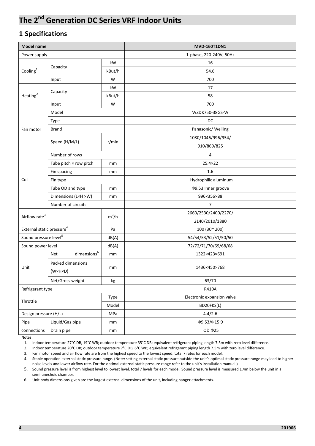### **1 Specifications**

| <b>Model name</b>                     |                                              |               | <b>MVD-160T1DN1</b>        |  |  |  |  |  |  |
|---------------------------------------|----------------------------------------------|---------------|----------------------------|--|--|--|--|--|--|
| Power supply                          |                                              |               | 1-phase, 220-240V, 50Hz    |  |  |  |  |  |  |
|                                       |                                              | kW            | 16                         |  |  |  |  |  |  |
| Cooling $1$                           | Capacity                                     | kBut/h        | 54.6                       |  |  |  |  |  |  |
|                                       | Input                                        | W             | 700                        |  |  |  |  |  |  |
|                                       |                                              | kW            | 17                         |  |  |  |  |  |  |
| Heating <sup>2</sup>                  | Capacity                                     | kBut/h        | 58                         |  |  |  |  |  |  |
|                                       | Input                                        | W             | 700                        |  |  |  |  |  |  |
|                                       | Model                                        |               | WZDK750-38GS-W             |  |  |  |  |  |  |
|                                       | Type                                         |               | DC                         |  |  |  |  |  |  |
| Fan motor                             | <b>Brand</b>                                 |               | Panasonic/ Welling         |  |  |  |  |  |  |
|                                       |                                              |               | 1080/1046/996/954/         |  |  |  |  |  |  |
|                                       | Speed (H/M/L)                                | r/min         | 910/869/825                |  |  |  |  |  |  |
|                                       | Number of rows                               |               | 4                          |  |  |  |  |  |  |
|                                       | Tube pitch $\times$ row pitch                | mm            | 25.4×22                    |  |  |  |  |  |  |
|                                       | Fin spacing                                  | mm            | 1.6                        |  |  |  |  |  |  |
| Coil                                  | Fin type                                     |               | Hydrophilic aluminum       |  |  |  |  |  |  |
|                                       | Tube OD and type                             | mm            | Φ9.53 Inner groove         |  |  |  |  |  |  |
|                                       | Dimensions (LxH xW)                          | mm            | 996×356×88                 |  |  |  |  |  |  |
|                                       | Number of circuits                           |               | 7                          |  |  |  |  |  |  |
| Airflow rate <sup>3</sup>             |                                              | $m^3/h$       | 2660/2530/2400/2270/       |  |  |  |  |  |  |
|                                       |                                              |               | 2140/2010/1880             |  |  |  |  |  |  |
| External static pressure <sup>4</sup> |                                              | Pa            | 100 (30~200)               |  |  |  |  |  |  |
| Sound pressure level <sup>5</sup>     |                                              | dB(A)         | 54/54/53/52/51/50/50       |  |  |  |  |  |  |
| Sound power level                     |                                              | dB(A)         | 72/72/71/70/69/68/68       |  |  |  |  |  |  |
|                                       | $\text{dimensions}^6$<br>Net                 | mm            | 1322×423×691               |  |  |  |  |  |  |
| Unit                                  | Packed dimensions<br>$(W \times H \times D)$ | mm            | 1436×450×768               |  |  |  |  |  |  |
|                                       | Net/Gross weight                             | $\mathsf{kg}$ | 63/70                      |  |  |  |  |  |  |
| Refrigerant type                      |                                              |               | R410A                      |  |  |  |  |  |  |
|                                       |                                              | Type          | Electronic expansion valve |  |  |  |  |  |  |
| Throttle                              |                                              | Model         | BD20FKS(L)                 |  |  |  |  |  |  |
| Design pressure (H/L)                 |                                              | MPa           | 4.4/2.6                    |  |  |  |  |  |  |
| Pipe                                  | Liquid/Gas pipe                              | mm            | Φ9.53/Φ15.9                |  |  |  |  |  |  |
| connections                           | Drain pipe                                   | mm            | OD <b>Φ25</b>              |  |  |  |  |  |  |
|                                       |                                              |               |                            |  |  |  |  |  |  |

Notes:

1. Indoor temperature 27°C DB, 19°C WB; outdoor temperature 35°C DB; equivalent refrigerant piping length 7.5m with zero level difference.

2. Indoor temperature 20°C DB; outdoor temperature 7°C DB, 6°C WB; equivalent refrigerant piping length 7.5m with zero level difference.

3. Fan motor speed and air flow rate are from the highest speed to the lowest speed, total 7 rates for each model.

4. Stable operation external static pressure range. (Note: setting external static pressure outside the unit's optimal static pressure range may lead to higher noise levels and lower airflow rate. For the optimal external static pressure range refer to the unit's installation manual.)

5. Sound pressure level is from highest level to lowest level, total 7 levels for each model. Sound pressure level is measured 1.4m below the unit in a semi-anechoic chamber.

6. Unit body dimensions given are the largest external dimensions of the unit, including hanger attachments.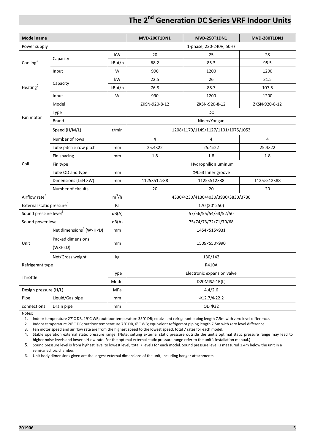| <b>Model name</b>                     |                                     |                                                                                                                                                                                                                                                                                                                                                                                                                                                                                                                                                                                                                                                                                                                   | <b>MVD-200T1DN1</b><br><b>MVD-250T1DN1</b><br><b>MVD-280T1DN1</b> |                         |                |  |  |  |  |  |
|---------------------------------------|-------------------------------------|-------------------------------------------------------------------------------------------------------------------------------------------------------------------------------------------------------------------------------------------------------------------------------------------------------------------------------------------------------------------------------------------------------------------------------------------------------------------------------------------------------------------------------------------------------------------------------------------------------------------------------------------------------------------------------------------------------------------|-------------------------------------------------------------------|-------------------------|----------------|--|--|--|--|--|
| Power supply                          |                                     |                                                                                                                                                                                                                                                                                                                                                                                                                                                                                                                                                                                                                                                                                                                   |                                                                   | 1-phase, 220-240V, 50Hz |                |  |  |  |  |  |
|                                       |                                     | kW                                                                                                                                                                                                                                                                                                                                                                                                                                                                                                                                                                                                                                                                                                                | 20                                                                | 25                      | 28             |  |  |  |  |  |
| Cooling $^{1}$                        | Capacity                            | kBut/h                                                                                                                                                                                                                                                                                                                                                                                                                                                                                                                                                                                                                                                                                                            | 68.2                                                              | 85.3                    | 95.5           |  |  |  |  |  |
|                                       | Input                               | W<br>990<br>1200<br>kW<br>22.5<br>26<br>kBut/h<br>76.8<br>88.7<br>W<br>990<br>1200<br>ZKSN-920-8-12<br>ZKSN-920-8-12<br>DC<br>Nidec/Yongan<br>r/min<br>1208/1179/1149/1127/1101/1075/1053<br>4<br>4<br>25.4×22<br>25.4×22<br>mm<br>1.8<br>1.8<br>mm<br>Hydrophilic aluminum<br>Φ9.53 Inner groove<br>mm<br>1125×512×88<br>1125×512×88<br>mm<br>20<br>20<br>$m^3/h$<br>4330/4230/4130/4030/3930/3830/3730<br>Pa<br>170 (20~250)<br>dB(A)<br>57/56/55/54/53/52/50<br>dB(A)<br>75/74/73/72/71/70/68<br>1454×515×931<br>mm<br>1509×550×990<br>mm<br>130/142<br>kg<br>R410A<br>Electronic expansion valve<br>Type<br>Model<br>D20MISZ-1R(L)<br>4.4/2.6<br>MPa<br>$\Phi$ 12.7/ $\Phi$ 22.2<br>mm<br>OD <b>Φ32</b><br>mm | 1200                                                              |                         |                |  |  |  |  |  |
|                                       |                                     |                                                                                                                                                                                                                                                                                                                                                                                                                                                                                                                                                                                                                                                                                                                   |                                                                   |                         | 31.5           |  |  |  |  |  |
| Heating <sup>2</sup>                  | Capacity                            |                                                                                                                                                                                                                                                                                                                                                                                                                                                                                                                                                                                                                                                                                                                   |                                                                   |                         | 107.5          |  |  |  |  |  |
|                                       | Input                               |                                                                                                                                                                                                                                                                                                                                                                                                                                                                                                                                                                                                                                                                                                                   |                                                                   |                         | 1200           |  |  |  |  |  |
|                                       | Model                               |                                                                                                                                                                                                                                                                                                                                                                                                                                                                                                                                                                                                                                                                                                                   |                                                                   |                         | ZKSN-920-8-12  |  |  |  |  |  |
|                                       | Type                                |                                                                                                                                                                                                                                                                                                                                                                                                                                                                                                                                                                                                                                                                                                                   |                                                                   |                         |                |  |  |  |  |  |
| Fan motor                             | <b>Brand</b>                        |                                                                                                                                                                                                                                                                                                                                                                                                                                                                                                                                                                                                                                                                                                                   |                                                                   |                         |                |  |  |  |  |  |
|                                       | Speed (H/M/L)                       |                                                                                                                                                                                                                                                                                                                                                                                                                                                                                                                                                                                                                                                                                                                   |                                                                   |                         |                |  |  |  |  |  |
|                                       | Number of rows                      |                                                                                                                                                                                                                                                                                                                                                                                                                                                                                                                                                                                                                                                                                                                   |                                                                   |                         | $\overline{4}$ |  |  |  |  |  |
|                                       | Tube pitch × row pitch              |                                                                                                                                                                                                                                                                                                                                                                                                                                                                                                                                                                                                                                                                                                                   |                                                                   |                         | 25.4×22        |  |  |  |  |  |
|                                       | Fin spacing                         |                                                                                                                                                                                                                                                                                                                                                                                                                                                                                                                                                                                                                                                                                                                   |                                                                   |                         | 1.8            |  |  |  |  |  |
| Coil                                  | Fin type                            |                                                                                                                                                                                                                                                                                                                                                                                                                                                                                                                                                                                                                                                                                                                   |                                                                   |                         |                |  |  |  |  |  |
|                                       | Tube OD and type                    |                                                                                                                                                                                                                                                                                                                                                                                                                                                                                                                                                                                                                                                                                                                   |                                                                   |                         |                |  |  |  |  |  |
|                                       | Dimensions (LxH xW)                 |                                                                                                                                                                                                                                                                                                                                                                                                                                                                                                                                                                                                                                                                                                                   |                                                                   |                         | 1125×512×88    |  |  |  |  |  |
|                                       | Number of circuits                  |                                                                                                                                                                                                                                                                                                                                                                                                                                                                                                                                                                                                                                                                                                                   |                                                                   |                         | 20             |  |  |  |  |  |
| Airflow rate <sup>3</sup>             |                                     |                                                                                                                                                                                                                                                                                                                                                                                                                                                                                                                                                                                                                                                                                                                   |                                                                   |                         |                |  |  |  |  |  |
| External static pressure <sup>4</sup> |                                     |                                                                                                                                                                                                                                                                                                                                                                                                                                                                                                                                                                                                                                                                                                                   |                                                                   |                         |                |  |  |  |  |  |
| Sound pressure level <sup>5</sup>     |                                     |                                                                                                                                                                                                                                                                                                                                                                                                                                                                                                                                                                                                                                                                                                                   |                                                                   |                         |                |  |  |  |  |  |
| Sound power level                     |                                     |                                                                                                                                                                                                                                                                                                                                                                                                                                                                                                                                                                                                                                                                                                                   |                                                                   |                         |                |  |  |  |  |  |
|                                       | Net dimensions <sup>6</sup> (W×H×D) |                                                                                                                                                                                                                                                                                                                                                                                                                                                                                                                                                                                                                                                                                                                   |                                                                   |                         |                |  |  |  |  |  |
|                                       | Packed dimensions                   |                                                                                                                                                                                                                                                                                                                                                                                                                                                                                                                                                                                                                                                                                                                   |                                                                   |                         |                |  |  |  |  |  |
| Unit                                  | $(W \times H \times D)$             |                                                                                                                                                                                                                                                                                                                                                                                                                                                                                                                                                                                                                                                                                                                   |                                                                   |                         |                |  |  |  |  |  |
|                                       | Net/Gross weight                    |                                                                                                                                                                                                                                                                                                                                                                                                                                                                                                                                                                                                                                                                                                                   |                                                                   |                         |                |  |  |  |  |  |
| Refrigerant type                      |                                     |                                                                                                                                                                                                                                                                                                                                                                                                                                                                                                                                                                                                                                                                                                                   |                                                                   |                         |                |  |  |  |  |  |
|                                       |                                     |                                                                                                                                                                                                                                                                                                                                                                                                                                                                                                                                                                                                                                                                                                                   |                                                                   |                         |                |  |  |  |  |  |
| Throttle                              |                                     |                                                                                                                                                                                                                                                                                                                                                                                                                                                                                                                                                                                                                                                                                                                   |                                                                   |                         |                |  |  |  |  |  |
| Design pressure (H/L)                 |                                     |                                                                                                                                                                                                                                                                                                                                                                                                                                                                                                                                                                                                                                                                                                                   |                                                                   |                         |                |  |  |  |  |  |
| Pipe                                  | Liquid/Gas pipe                     |                                                                                                                                                                                                                                                                                                                                                                                                                                                                                                                                                                                                                                                                                                                   |                                                                   |                         |                |  |  |  |  |  |
| connections                           | Drain pipe                          |                                                                                                                                                                                                                                                                                                                                                                                                                                                                                                                                                                                                                                                                                                                   |                                                                   |                         |                |  |  |  |  |  |

Notes:

1. Indoor temperature 27°C DB, 19°C WB; outdoor temperature 35°C DB; equivalent refrigerant piping length 7.5m with zero level difference.

2. Indoor temperature 20°C DB; outdoor temperature 7°C DB, 6°C WB; equivalent refrigerant piping length 7.5m with zero level difference.

3. Fan motor speed and air flow rate are from the highest speed to the lowest speed, total 7 rates for each model.

4. Stable operation external static pressure range. (Note: setting external static pressure outside the unit's optimal static pressure range may lead to higher noise levels and lower airflow rate. For the optimal external static pressure range refer to the unit's installation manual.)

5. Sound pressure level is from highest level to lowest level, total 7 levels for each model. Sound pressure level is measured 1.4m below the unit in a semi-anechoic chamber.

6. Unit body dimensions given are the largest external dimensions of the unit, including hanger attachments.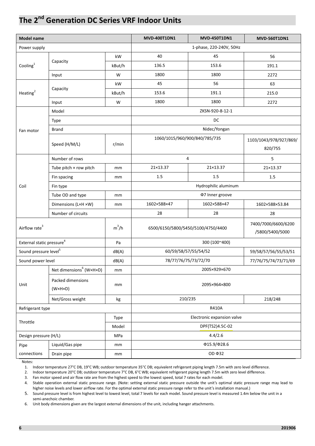| <b>Model name</b>                     |                                              |                                  | <b>MVD-400T1DN1</b> | <b>MVD-450T1DN1</b>                | <b>MVD-560T1DN1</b>                    |  |  |  |
|---------------------------------------|----------------------------------------------|----------------------------------|---------------------|------------------------------------|----------------------------------------|--|--|--|
| Power supply                          |                                              |                                  |                     | 1-phase, 220-240V, 50Hz            |                                        |  |  |  |
|                                       |                                              | kW                               | 40                  | 45                                 | 56                                     |  |  |  |
| Cooling $1$                           | Capacity                                     | kBut/h                           | 136.5               | 153.6                              | 191.1                                  |  |  |  |
|                                       | Input                                        | W                                | 1800                | 1800                               | 2272                                   |  |  |  |
|                                       |                                              | kW                               | 45                  | 56                                 | 63                                     |  |  |  |
| Heating $2$                           | Capacity                                     | kBut/h                           | 153.6               | 191.1                              | 215.0                                  |  |  |  |
|                                       | Input                                        | W                                | 1800                | 1800                               | 2272                                   |  |  |  |
|                                       | Model                                        |                                  |                     | ZKSN-920-8-12-1                    |                                        |  |  |  |
|                                       | Type                                         |                                  |                     | DC                                 |                                        |  |  |  |
| Fan motor                             | Brand                                        |                                  |                     | Nidec/Yongan                       |                                        |  |  |  |
|                                       | Speed (H/M/L)                                | r/min                            |                     | 1060/1015/960/900/840/785/735      | 1103/1043/978/927/869/<br>820/755      |  |  |  |
|                                       | Number of rows                               |                                  |                     | 4                                  | 5                                      |  |  |  |
|                                       | Tube pitch $\times$ row pitch                | mm                               | 21×13.37            | 21×13.37                           | 21×13.37                               |  |  |  |
|                                       | Fin spacing                                  | mm                               | 1.5                 | 1.5                                | 1.5                                    |  |  |  |
| Coil                                  | Fin type                                     |                                  |                     | Hydrophilic aluminum               |                                        |  |  |  |
|                                       | Tube OD and type                             | mm                               |                     | Φ7 Inner groove                    |                                        |  |  |  |
|                                       | Dimensions (LxH xW)                          | 1602×588×47<br>1602×588×47<br>mm |                     |                                    |                                        |  |  |  |
|                                       | Number of circuits                           |                                  | 28                  | 28                                 | 28                                     |  |  |  |
| Airflow rate <sup>3</sup>             |                                              | $m^3/h$                          |                     | 6500/6150/5800/5450/5100/4750/4400 | 7400/7000/6600/6200<br>/5800/5400/5000 |  |  |  |
| External static pressure <sup>4</sup> |                                              | Pa                               |                     | 300 (100~400)                      |                                        |  |  |  |
| Sound pressure level <sup>5</sup>     |                                              | dB(A)                            |                     | 60/59/58/57/55/54/52               | 59/58/57/56/55/53/51                   |  |  |  |
| Sound power level                     |                                              | dB(A)                            |                     | 78/77/76/75/73/72/70               | 77/76/75/74/73/71/69                   |  |  |  |
|                                       | Net dimensions <sup>6</sup> (W×H×D)          | mm                               |                     | 2005×929×670                       |                                        |  |  |  |
| Unit                                  | Packed dimensions<br>$(W \times H \times D)$ | mm                               |                     | 2095×964×800                       |                                        |  |  |  |
|                                       | Net/Gross weight                             | kg                               |                     | 210/235                            | 218/248                                |  |  |  |
| Refrigerant type                      |                                              |                                  |                     | <b>R410A</b>                       |                                        |  |  |  |
| Throttle                              |                                              | Type                             |                     | Electronic expansion valve         |                                        |  |  |  |
|                                       |                                              | Model                            | DPF(TS2)4.5C-02     |                                    |                                        |  |  |  |
| Design pressure (H/L)                 |                                              | MPa                              | 4.4/2.6             |                                    |                                        |  |  |  |
| Pipe                                  | Liquid/Gas pipe                              | mm                               | Φ15.9/Φ28.6         |                                    |                                        |  |  |  |
| connections                           | Drain pipe                                   | mm                               |                     | OD 032                             |                                        |  |  |  |

Notes:

1. Indoor temperature 27°C DB, 19°C WB; outdoor temperature 35°C DB; equivalent refrigerant piping length 7.5m with zero level difference.

2. Indoor temperature 20°C DB; outdoor temperature 7°C DB, 6°C WB; equivalent refrigerant piping length 7.5m with zero level difference.

3. Fan motor speed and air flow rate are from the highest speed to the lowest speed, total 7 rates for each model.

4. Stable operation external static pressure range. (Note: setting external static pressure outside the unit's optimal static pressure range may lead to higher noise levels and lower airflow rate. For the optimal external static pressure range refer to the unit's installation manual.)

5. Sound pressure level is from highest level to lowest level, total 7 levels for each model. Sound pressure level is measured 1.4m below the unit in a semi-anechoic chamber.

6. Unit body dimensions given are the largest external dimensions of the unit, including hanger attachments.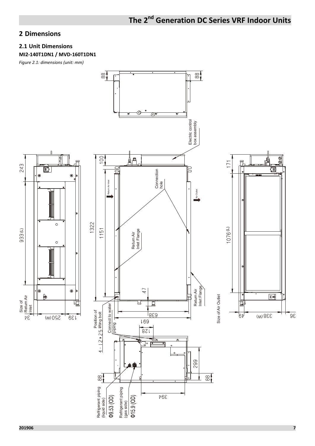## **2 Dimensions**

#### **2.1 Unit Dimensions**

#### **MI2-140T1DN1 / MVD-160T1DN1**

*Figure 2.1: dimensions (unit: mm)* 

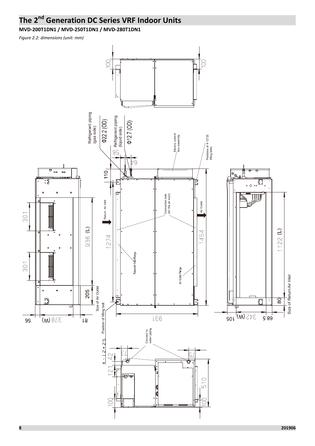**MVD-200T1DN1 / MVD-250T1DN1 / MVD-280T1DN1** 

*Figure 2.2: dimensions (unit: mm)* 

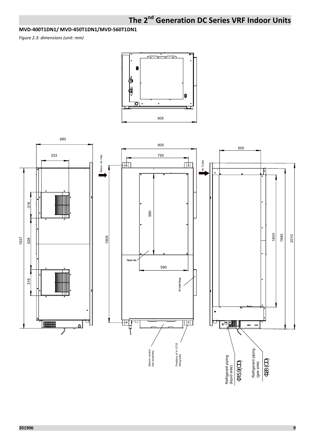#### **MVD-400T1DN1/ MVD-450T1DN1/MVD-560T1DN1**

*Figure 2.3: dimensions (unit: mm)* 



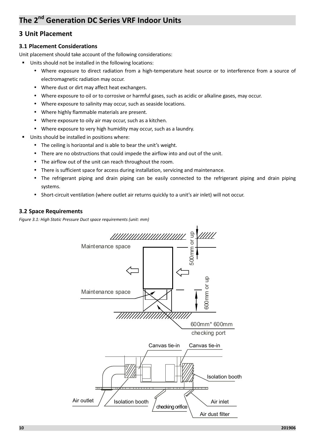#### **3 Unit Placement**

#### **3.1 Placement Considerations**

Unit placement should take account of the following considerations:

- Units should not be installed in the following locations:
	- Where exposure to direct radiation from a high-temperature heat source or to interference from a source of electromagnetic radiation may occur.
	- Where dust or dirt may affect heat exchangers.
	- Where exposure to oil or to corrosive or harmful gases, such as acidic or alkaline gases, may occur.
	- Where exposure to salinity may occur, such as seaside locations.
	- Where highly flammable materials are present.
	- Where exposure to oily air may occur, such as a kitchen.
	- Where exposure to very high humidity may occur, such as a laundry.
- - Units should be installed in positions where:
	- The ceiling is horizontal and is able to bear the unit's weight.
	- There are no obstructions that could impede the airflow into and out of the unit.
	- The airflow out of the unit can reach throughout the room.
	- There is sufficient space for access during installation, servicing and maintenance.
	- The refrigerant piping and drain piping can be easily connected to the refrigerant piping and drain piping systems.
	- Short-circuit ventilation (where outlet air returns quickly to a unit's air inlet) will not occur.

#### **3.2 Space Requirements**

*Figure 3.1: High Static Pressure Duct space requirements (unit: mm)*

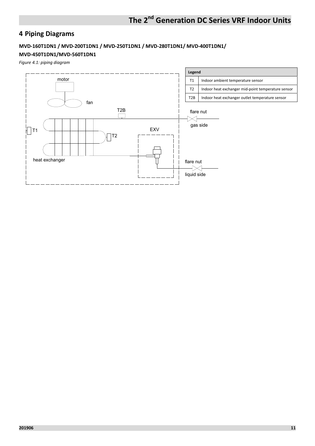## **4 Piping Diagrams**

#### **MVD-160T1DN1 / MVD-200T1DN1 / MVD-250T1DN1 / MVD-280T1DN1/ MVD-400T1DN1/**

#### **MVD-450T1DN1/MVD-560T1DN1**

*Figure 4.1: piping diagram*

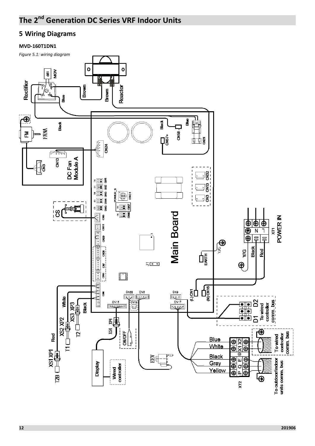## **5 Wiring Diagrams**

#### **MVD-160T1DN1**

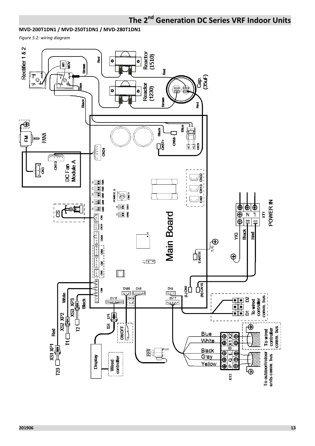#### **MVD-200T1DN1 / MVD-250T1DN1 / MVD-280T1DN1**

*Figure 5.2: wiring diagram* 

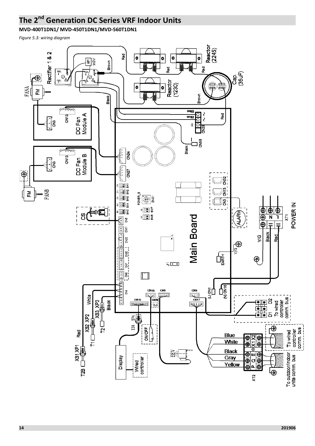**MVD-400T1DN1/ MVD-450T1DN1/MVD-560T1DN1** 

*Figure 5.3: wiring diagram*

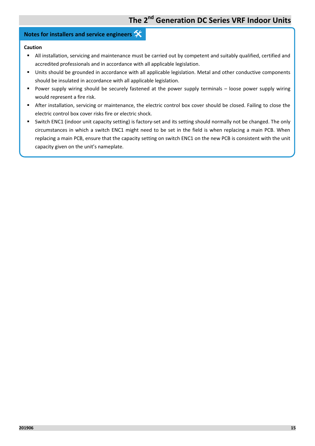## **Notes for installers and service engineers**

#### **Caution**

- All installation, servicing and maintenance must be carried out by competent and suitably qualified, certified and accredited professionals and in accordance with all applicable legislation.
- - Units should be grounded in accordance with all applicable legislation. Metal and other conductive components should be insulated in accordance with all applicable legislation.
- - Power supply wiring should be securely fastened at the power supply terminals – loose power supply wiring would represent a fire risk.
- - After installation, servicing or maintenance, the electric control box cover should be closed. Failing to close the electric control box cover risks fire or electric shock.
- - Switch ENC1 (indoor unit capacity setting) is factory-set and its setting should normally not be changed. The only circumstances in which a switch ENC1 might need to be set in the field is when replacing a main PCB. When replacing a main PCB, ensure that the capacity setting on switch ENC1 on the new PCB is consistent with the unit capacity given on the unit's nameplate.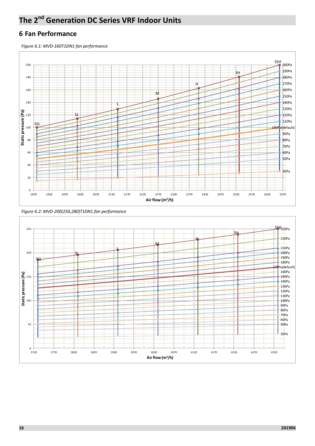#### **6 Fan Performance**

*Figure 6.1: MVD-160T1DN1 fan performance* 





*Figure 6.2: MVD-200(250,280)T1DN1 fan performance*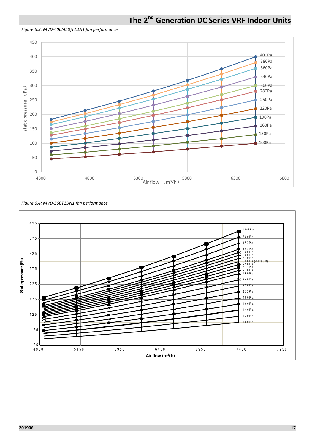

*Figure 6.3: MVD-400(450)T1DN1 fan performance* 



*Figure 6.4: MVD-560T1DN1 fan performance* 

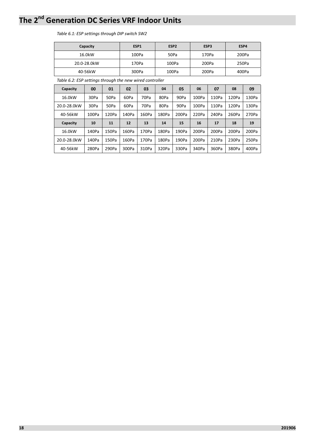#### *Table 6.1: ESP settings through DIP switch SW2*

| Capacity    | ESP <sub>1</sub> | ESP <sub>2</sub> | ESP <sub>3</sub> | ESP4  |
|-------------|------------------|------------------|------------------|-------|
| 16.0kW      | 100Pa            | 50Pa             | 170Pa            | 200Pa |
| 20.0-28.0kW | 170Pa            | 100Pa            | 200Pa            | 250Pa |
| 40-56kW     | 300Pa            | 100Pa            | 200Pa            | 400Pa |

*Table 6.2: ESP settings through the new wired controller*

| Capacity    | 00    | 01    | 02    | 03    | 04    | 05    | 06    | 07    | 08    | 09    |
|-------------|-------|-------|-------|-------|-------|-------|-------|-------|-------|-------|
| 16.0kW      | 30Pa  | 50Pa  | 60Pa  | 70Pa  | 80Pa  | 90Pa  | 100Pa | 110Pa | 120Pa | 130Pa |
| 20.0-28.0kW | 30Pa  | 50Pa  | 60Pa  | 70Pa  | 80Pa  | 90Pa  | 100Pa | 110Pa | 120Pa | 130Pa |
| 40-56kW     | 100Pa | 120Pa | 140Pa | 160Pa | 180Pa | 200Pa | 220Pa | 240Pa | 260Pa | 270Pa |
| Capacity    | 10    | 11    | 12    | 13    | 14    | 15    | 16    | 17    | 18    | 19    |
| 16.0kW      | 140Pa | 150Pa | 160Pa | 170Pa | 180Pa | 190Pa | 200Pa | 200Pa | 200Pa | 200Pa |
| 20.0-28.0kW | 140Pa | 150Pa | 160Pa | 170Pa | 180Pa | 190Pa | 200Pa | 210Pa | 230Pa | 250Pa |
| 40-56kW     | 280Pa | 290Pa | 300Pa | 310Pa | 320Pa | 330Pa | 340Pa | 360Pa | 380Pa | 400Pa |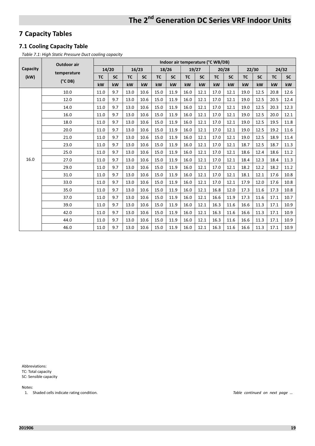## **7 Capacity Tables**

#### **7.1 Cooling Capacity Table**

*Table 7.1: High Static Pressure Duct cooling capacity* 

|          | <b>Outdoor air</b> |           | Indoor air temperature (°C WB/DB) |           |           |           |           |           |           |           |           |           |           |           |           |
|----------|--------------------|-----------|-----------------------------------|-----------|-----------|-----------|-----------|-----------|-----------|-----------|-----------|-----------|-----------|-----------|-----------|
| Capacity | temperature        |           | 14/20                             |           | 16/23     |           | 18/26     |           | 19/27     |           | 20/28     |           | 22/30     |           | 24/32     |
| (kW)     |                    | <b>TC</b> | <b>SC</b>                         | <b>TC</b> | <b>SC</b> | <b>TC</b> | <b>SC</b> | <b>TC</b> | <b>SC</b> | <b>TC</b> | <b>SC</b> | <b>TC</b> | <b>SC</b> | <b>TC</b> | <b>SC</b> |
|          | $(^{\circ}C$ DB)   | kW        | kW                                | kW        | kW        | kW        | kW        | kW        | kW        | kW        | kW        | kW        | kW        | kW        | kW        |
|          | 10.0               | 11.0      | 9.7                               | 13.0      | 10.6      | 15.0      | 11.9      | 16.0      | 12.1      | 17.0      | 12.1      | 19.0      | 12.5      | 20.8      | 12.6      |
|          | 12.0               | 11.0      | 9.7                               | 13.0      | 10.6      | 15.0      | 11.9      | 16.0      | 12.1      | 17.0      | 12.1      | 19.0      | 12.5      | 20.5      | 12.4      |
|          | 14.0               | 11.0      | 9.7                               | 13.0      | 10.6      | 15.0      | 11.9      | 16.0      | 12.1      | 17.0      | 12.1      | 19.0      | 12.5      | 20.3      | 12.3      |
|          | 16.0               | 11.0      | 9.7                               | 13.0      | 10.6      | 15.0      | 11.9      | 16.0      | 12.1      | 17.0      | 12.1      | 19.0      | 12.5      | 20.0      | 12.1      |
|          | 18.0               | 11.0      | 9.7                               | 13.0      | 10.6      | 15.0      | 11.9      | 16.0      | 12.1      | 17.0      | 12.1      | 19.0      | 12.5      | 19.5      | 11.8      |
|          | 20.0               | 11.0      | 9.7                               | 13.0      | 10.6      | 15.0      | 11.9      | 16.0      | 12.1      | 17.0      | 12.1      | 19.0      | 12.5      | 19.2      | 11.6      |
|          | 21.0               | 11.0      | 9.7                               | 13.0      | 10.6      | 15.0      | 11.9      | 16.0      | 12.1      | 17.0      | 12.1      | 19.0      | 12.5      | 18.9      | 11.4      |
|          | 23.0               | 11.0      | 9.7                               | 13.0      | 10.6      | 15.0      | 11.9      | 16.0      | 12.1      | 17.0      | 12.1      | 18.7      | 12.5      | 18.7      | 11.3      |
|          | 25.0               | 11.0      | 9.7                               | 13.0      | 10.6      | 15.0      | 11.9      | 16.0      | 12.1      | 17.0      | 12.1      | 18.6      | 12.4      | 18.6      | 11.2      |
| 16.0     | 27.0               | 11.0      | 9.7                               | 13.0      | 10.6      | 15.0      | 11.9      | 16.0      | 12.1      | 17.0      | 12.1      | 18.4      | 12.3      | 18.4      | 11.3      |
|          | 29.0               | 11.0      | 9.7                               | 13.0      | 10.6      | 15.0      | 11.9      | 16.0      | 12.1      | 17.0      | 12.1      | 18.2      | 12.2      | 18.2      | 11.2      |
|          | 31.0               | 11.0      | 9.7                               | 13.0      | 10.6      | 15.0      | 11.9      | 16.0      | 12.1      | 17.0      | 12.1      | 18.1      | 12.1      | 17.6      | 10.8      |
|          | 33.0               | 11.0      | 9.7                               | 13.0      | 10.6      | 15.0      | 11.9      | 16.0      | 12.1      | 17.0      | 12.1      | 17.9      | 12.0      | 17.6      | 10.8      |
|          | 35.0               | 11.0      | 9.7                               | 13.0      | 10.6      | 15.0      | 11.9      | 16.0      | 12.1      | 16.8      | 12.0      | 17.3      | 11.6      | 17.3      | 10.8      |
|          | 37.0               | 11.0      | 9.7                               | 13.0      | 10.6      | 15.0      | 11.9      | 16.0      | 12.1      | 16.6      | 11.9      | 17.3      | 11.6      | 17.1      | 10.7      |
|          | 39.0               | 11.0      | 9.7                               | 13.0      | 10.6      | 15.0      | 11.9      | 16.0      | 12.1      | 16.3      | 11.6      | 16.6      | 11.3      | 17.1      | 10.9      |
|          | 42.0               | 11.0      | 9.7                               | 13.0      | 10.6      | 15.0      | 11.9      | 16.0      | 12.1      | 16.3      | 11.6      | 16.6      | 11.3      | 17.1      | 10.9      |
|          | 44.0               | 11.0      | 9.7                               | 13.0      | 10.6      | 15.0      | 11.9      | 16.0      | 12.1      | 16.3      | 11.6      | 16.6      | 11.3      | 17.1      | 10.9      |
|          | 46.0               | 11.0      | 9.7                               | 13.0      | 10.6      | 15.0      | 11.9      | 16.0      | 12.1      | 16.3      | 11.6      | 16.6      | 11.3      | 17.1      | 10.9      |

Abbreviations: TC: Total capacity SC: Sensible capacity

Notes:

1. Shaded cells indicate rating condition. *Table continued on next page …*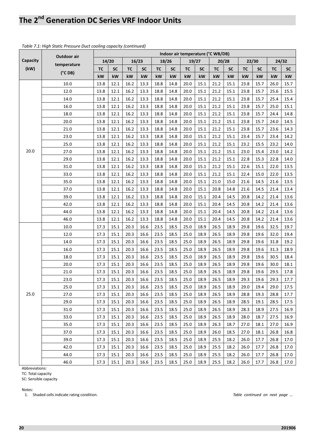|          | Outdoor air      | Indoor air temperature (°C WB/DB) |           |           |           |      |           |           |           |           |           |           |       |           |           |
|----------|------------------|-----------------------------------|-----------|-----------|-----------|------|-----------|-----------|-----------|-----------|-----------|-----------|-------|-----------|-----------|
| Capacity |                  |                                   | 14/20     |           | 16/23     |      | 18/26     |           | 19/27     |           | 20/28     |           | 22/30 |           | 24/32     |
| (kW)     | temperature      | <b>TC</b>                         | <b>SC</b> | <b>TC</b> | <b>SC</b> | TC   | <b>SC</b> | <b>TC</b> | <b>SC</b> | <b>TC</b> | <b>SC</b> | <b>TC</b> | SC    | <b>TC</b> | <b>SC</b> |
|          | $(^{\circ}C$ DB) | kW                                | kW        | kW        | kW        | kW   | kW        | kW        | kW        | kW        | kW        | kW        | kW    | kW        | kW        |
|          | 10.0             | 13.8                              | 12.1      | 16.2      | 13.3      | 18.8 | 14.8      | 20.0      | 15.1      | 21.2      | 15.1      | 23.8      | 15.7  | 26.0      | 15.7      |
|          | 12.0             | 13.8                              | 12.1      | 16.2      | 13.3      | 18.8 | 14.8      | 20.0      | 15.1      | 21.2      | 15.1      | 23.8      | 15.7  | 25.6      | 15.5      |
|          | 14.0             | 13.8                              | 12.1      | 16.2      | 13.3      | 18.8 | 14.8      | 20.0      | 15.1      | 21.2      | 15.1      | 23.8      | 15.7  | 25.4      | 15.4      |
|          | 16.0             | 13.8                              | 12.1      | 16.2      | 13.3      | 18.8 | 14.8      | 20.0      | 15.1      | 21.2      | 15.1      | 23.8      | 15.7  | 25.0      | 15.1      |
|          | 18.0             | 13.8                              | 12.1      | 16.2      | 13.3      | 18.8 | 14.8      | 20.0      | 15.1      | 21.2      | 15.1      | 23.8      | 15.7  | 24.4      | 14.8      |
|          | 20.0             | 13.8                              | 12.1      | 16.2      | 13.3      | 18.8 | 14.8      | 20.0      | 15.1      | 21.2      | 15.1      | 23.8      | 15.7  | 24.0      | 14.5      |
|          | 21.0             | 13.8                              | 12.1      | 16.2      | 13.3      | 18.8 | 14.8      | 20.0      | 15.1      | 21.2      | 15.1      | 23.8      | 15.7  | 23.6      | 14.3      |
|          | 23.0             | 13.8                              | 12.1      | 16.2      | 13.3      | 18.8 | 14.8      | 20.0      | 15.1      | 21.2      | 15.1      | 23.4      | 15.7  | 23.4      | 14.2      |
|          | 25.0             | 13.8                              | 12.1      | 16.2      | 13.3      | 18.8 | 14.8      | 20.0      | 15.1      | 21.2      | 15.1      | 23.2      | 15.5  | 23.2      | 14.0      |
| 20.0     | 27.0             | 13.8                              | 12.1      | 16.2      | 13.3      | 18.8 | 14.8      | 20.0      | 15.1      | 21.2      | 15.1      | 23.0      | 15.4  | 23.0      | 14.2      |
|          | 29.0             | 13.8                              | 12.1      | 16.2      | 13.3      | 18.8 | 14.8      | 20.0      | 15.1      | 21.2      | 15.1      | 22.8      | 15.3  | 22.8      | 14.0      |
|          | 31.0             | 13.8                              | 12.1      | 16.2      | 13.3      | 18.8 | 14.8      | 20.0      | 15.1      | 21.2      | 15.1      | 22.6      | 15.1  | 22.0      | 13.5      |
|          | 33.0             | 13.8                              | 12.1      | 16.2      | 13.3      | 18.8 | 14.8      | 20.0      | 15.1      | 21.2      | 15.1      | 22.4      | 15.0  | 22.0      | 13.5      |
|          | 35.0             | 13.8                              | 12.1      | 16.2      | 13.3      | 18.8 | 14.8      | 20.0      | 15.1      | 21.0      | 15.0      | 21.6      | 14.5  | 21.6      | 13.5      |
|          | 37.0             | 13.8                              | 12.1      | 16.2      | 13.3      | 18.8 | 14.8      | 20.0      | 15.1      | 20.8      | 14.8      | 21.6      | 14.5  | 21.4      | 13.4      |
|          | 39.0             | 13.8                              | 12.1      | 16.2      | 13.3      | 18.8 | 14.8      | 20.0      | 15.1      | 20.4      | 14.5      | 20.8      | 14.2  | 21.4      | 13.6      |
|          | 42.0             | 13.8                              | 12.1      | 16.2      | 13.3      | 18.8 | 14.8      | 20.0      | 15.1      | 20.4      | 14.5      | 20.8      | 14.2  | 21.4      | 13.6      |
|          | 44.0             | 13.8                              | 12.1      | 16.2      | 13.3      | 18.8 | 14.8      | 20.0      | 15.1      | 20.4      | 14.5      | 20.8      | 14.2  | 21.4      | 13.6      |
|          | 46.0             | 13.8                              | 12.1      | 16.2      | 13.3      | 18.8 | 14.8      | 20.0      | 15.1      | 20.4      | 14.5      | 20.8      | 14.2  | 21.4      | 13.6      |
|          | 10.0             | 17.3                              | 15.1      | 20.3      | 16.6      | 23.5 | 18.5      | 25.0      | 18.9      | 26.5      | 18.9      | 29.8      | 19.6  | 32.5      | 19.7      |
|          | 12.0             | 17.3                              | 15.1      | 20.3      | 16.6      | 23.5 | 18.5      | 25.0      | 18.9      | 26.5      | 18.9      | 29.8      | 19.6  | 32.0      | 19.4      |
|          | 14.0             | 17.3                              | 15.1      | 20.3      | 16.6      | 23.5 | 18.5      | 25.0      | 18.9      | 26.5      | 18.9      | 29.8      | 19.6  | 31.8      | 19.2      |
|          | 16.0             | 17.3                              | 15.1      | 20.3      | 16.6      | 23.5 | 18.5      | 25.0      | 18.9      | 26.5      | 18.9      | 29.8      | 19.6  | 31.3      | 18.9      |
|          | 18.0             | 17.3                              | 15.1      | 20.3      | 16.6      | 23.5 | 18.5      | 25.0      | 18.9      | 26.5      | 18.9      | 29.8      | 19.6  | 30.5      | 18.4      |
|          | 20.0             | 17.3                              | 15.1      | 20.3      | 16.6      | 23.5 | 18.5      | 25.0      | 18.9      | 26.5      | 18.9      | 29.8      | 19.6  | 30.0      | 18.1      |
|          | 21.0             | 17.3                              | 15.1      | 20.3      | 16.6      | 23.5 | 18.5      | 25.0      | 18.9      | 26.5      | 18.9      | 29.8      | 19.6  | 29.5      | 17.8      |
|          | 23.0             | 17.3                              | 15.1      | 20.3      | 16.6      | 23.5 | 18.5      | 25.0      | 18.9      | 26.5      | 18.9      | 29.3      | 19.6  | 29.3      | 17.7      |
|          | 25.0             | 17.3                              | $15.1\,$  | 20.3      | 16.6      | 23.5 | 18.5      | 25.0      | 18.9      | 26.5      | 18.9      | 29.0      | 19.4  | 29.0      | 17.5      |
| 25.0     | 27.0             | 17.3                              | 15.1      | 20.3      | 16.6      | 23.5 | 18.5      | 25.0      | 18.9      | 26.5      | 18.9      | 28.8      | 19.3  | 28.8      | 17.7      |
|          | 29.0             | 17.3                              | 15.1      | 20.3      | 16.6      | 23.5 | 18.5      | 25.0      | 18.9      | 26.5      | 18.9      | 28.5      | 19.1  | 28.5      | 17.5      |
|          | 31.0             | 17.3                              | 15.1      | 20.3      | 16.6      | 23.5 | 18.5      | 25.0      | 18.9      | 26.5      | 18.9      | 28.3      | 18.9  | 27.5      | 16.9      |
|          | 33.0             | 17.3                              | 15.1      | 20.3      | 16.6      | 23.5 | 18.5      | 25.0      | 18.9      | 26.5      | 18.9      | 28.0      | 18.7  | 27.5      | 16.9      |
|          | 35.0             | 17.3                              | 15.1      | 20.3      | 16.6      | 23.5 | 18.5      | 25.0      | 18.9      | 26.3      | 18.7      | 27.0      | 18.1  | 27.0      | 16.9      |
|          | 37.0             | 17.3                              | 15.1      | 20.3      | 16.6      | 23.5 | 18.5      | 25.0      | 18.9      | 26.0      | 18.5      | 27.0      | 18.1  | 26.8      | 16.8      |
|          | 39.0             | 17.3                              | 15.1      | 20.3      | 16.6      | 23.5 | 18.5      | 25.0      | 18.9      | 25.5      | 18.2      | 26.0      | 17.7  | 26.8      | 17.0      |
|          | 42.0             | 17.3                              | 15.1      | 20.3      | 16.6      | 23.5 | 18.5      | 25.0      | 18.9      | 25.5      | 18.2      | 26.0      | 17.7  | 26.8      | 17.0      |
|          | 44.0             | 17.3                              | 15.1      | 20.3      | 16.6      | 23.5 | 18.5      | 25.0      | 18.9      | 25.5      | 18.2      | 26.0      | 17.7  | 26.8      | 17.0      |
|          | 46.0             | 17.3                              | 15.1      | 20.3      | 16.6      | 23.5 | 18.5      | 25.0      | 18.9      | 25.5      | 18.2      | 26.0      | 17.7  | 26.8      | 17.0      |

#### *Table 7.1: High Static Pressure Duct cooling capacity (continued)*

Abbreviations:

TC: Total capacity

SC: Sensible capacity

Notes:

1. Shaded cells indicate rating condition. *Table continued on next page …*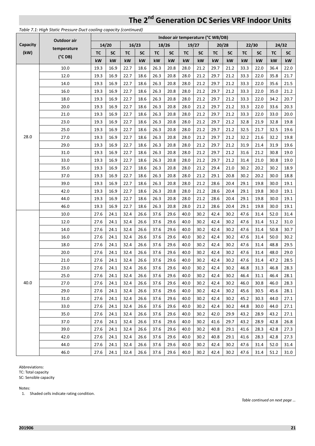#### **Capacity (kW) Outdoor air temperature (°C DB) Indoor air temperature (°C WB/DB) 14/20 16/23 18/26 19/27 20/28 22/30 24/32**  TC | SC | TC | SC | TC | SC | TC | SC | TC | SC | TC | SC | TC | SC **kW kW kW kW kW kW kW kW kW kW kW kW kW kW**  28.0 10.0 19.3 | 16.9 | 22.7 | 18.6 | 26.3 | 20.8 | 28.0 | 21.2 | 29.7 | 21.2 | 33.3 | 22.0 | 36.4 | 22.0 12.0 19.3 | 16.9 | 22.7 | 18.6 | 26.3 | 20.8 | 28.0 | 21.2 | 29.7 | 21.2 | 33.3 | 22.0 | 35.8 | 21.7 14.0 19.3 | 16.9 | 22.7 | 18.6 | 26.3 | 20.8 | 28.0 | 21.2 | 29.7 | 21.2 | 33.3 | 22.0 | 35.6 | 21.5 16.0 19.3 | 16.9 | 22.7 | 18.6 | 26.3 | 20.8 | 28.0 | 21.2 | 29.7 | 21.2 | 33.3 | 22.0 | 35.0 | 21.2 18.0 19.3 | 16.9 | 22.7 | 18.6 | 26.3 | 20.8 | 28.0 | 21.2 | 29.7 | 21.2 | 33.3 | 22.0 | 34.2 | 20.7 20.0 19.3 16.9 22.7 18.6 26.3 20.8 28.0 21.2 29.7 21.2 33.3 22.0 33.6 20.3 21.0 19.3 | 16.9 | 22.7 | 18.6 | 26.3 | 20.8 | 28.0 | 21.2 | 29.7 | 21.2 | 33.3 | 22.0 | 33.0 | 20.0 23.0 19.3 | 16.9 | 22.7 | 18.6 | 26.3 | 20.8 | 28.0 | 21.2 | 29.7 | 21.2 | 32.8 | 21.9 | 32.8 | 19.8 25.0 19.3 | 16.9 | 22.7 | 18.6 | 26.3 | 20.8 | 28.0 | 21.2 | 29.7 | 21.2 | 32.5 | 21.7 | 32.5 | 19.6 27.0 19.3 | 16.9 | 22.7 | 18.6 | 26.3 | 20.8 | 28.0 | 21.2 | 29.7 | 21.2 | 32.2 | 21.6 | 32.2 | 19.8 29.0 19.3 | 16.9 | 22.7 | 18.6 | 26.3 | 20.8 | 28.0 | 21.2 | 29.7 | 21.2 | 31.9 | 21.4 | 31.9 | 19.6 31.0 19.3 | 16.9 | 22.7 | 18.6 | 26.3 | 20.8 | 28.0 | 21.2 | 29.7 | 21.2 | 31.6 | 21.2 | 30.8 | 19.0 33.0 19.3 | 16.9 | 22.7 | 18.6 | 26.3 | 20.8 | 28.0 | 21.2 | 29.7 | 21.2 | 31.4 | 21.0 | 30.8 | 19.0 35.0 19.3 | 16.9 | 22.7 | 18.6 | 26.3 | 20.8 | 28.0 | 21.2 | 29.4 | 21.0 | 30.2 | 20.2 | 30.2 | 18.9 37.0 19.3 16.9 22.7 18.6 26.3 20.8 28.0 21.2 29.1 20.8 30.2 20.2 30.0 18.8 39.0 19.3 | 16.9 | 22.7 | 18.6 | 26.3 | 20.8 | 28.0 | 21.2 | 28.6 | 20.4 | 29.1 | 19.8 | 30.0 | 19.1 42.0 19.3 | 16.9 | 22.7 | 18.6 | 26.3 | 20.8 | 28.0 | 21.2 | 28.6 | 20.4 | 29.1 | 19.8 | 30.0 | 19.1 44.0 19.3 | 16.9 | 22.7 | 18.6 | 26.3 | 20.8 | 28.0 | 21.2 | 28.6 | 20.4 | 29.1 | 19.8 | 30.0 | 19.1 46.0 19.3 | 16.9 | 22.7 | 18.6 | 26.3 | 20.8 | 28.0 | 21.2 | 28.6 | 20.4 | 29.1 | 19.8 | 30.0 | 19.1 40.0 10.0 27.6 24.1 32.4 26.6 37.6 29.6 40.0 30.2 42.4 30.2 47.6 31.4 52.0 31.4 12.0 27.6 24.1 32.4 26.6 37.6 29.6 40.0 30.2 42.4 30.2 47.6 31.4 51.2 31.0 14.0 27.6 24.1 32.4 26.6 37.6 29.6 40.0 30.2 42.4 30.2 47.6 31.4 50.8 30.7 16.0 27.6 24.1 32.4 26.6 37.6 29.6 40.0 30.2 42.4 30.2 47.6 31.4 50.0 30.2 18.0 27.6 24.1 32.4 26.6 37.6 29.6 40.0 30.2 42.4 30.2 47.6 31.4 48.8 29.5 20.0 27.6 24.1 32.4 26.6 37.6 29.6 40.0 30.2 42.4 30.2 47.6 31.4 48.0 29.0 21.0 27.6 24.1 32.4 26.6 37.6 29.6 40.0 30.2 42.4 30.2 47.6 31.4 47.2 28.5 23.0 27.6 24.1 32.4 26.6 37.6 29.6 40.0 30.2 42.4 30.2 46.8 31.3 46.8 28.3 25.0 27.6 24.1 32.4 26.6 37.6 29.6 40.0 30.2 42.4 30.2 46.4 31.1 46.4 28.1 27.0 27.6 24.1 32.4 26.6 37.6 29.6 40.0 30.2 42.4 30.2 46.0 30.8 46.0 28.3 29.0 27.6 24.1 32.4 26.6 37.6 29.6 40.0 30.2 42.4 30.2 45.6 30.5 45.6 28.1 31.0 27.6 24.1 32.4 26.6 37.6 29.6 40.0 30.2 42.4 30.2 45.2 30.3 44.0 27.1 33.0 27.6 24.1 32.4 26.6 37.6 29.6 40.0 30.2 42.4 30.2 44.8 30.0 44.0 27.1 35.0 27.6 24.1 32.4 26.6 37.6 29.6 40.0 30.2 42.0 29.9 43.2 28.9 43.2 27.1 37.0 27.6 24.1 32.4 26.6 37.6 29.6 40.0 30.2 41.6 29.7 43.2 28.9 42.8 26.8 39.0 27.6 24.1 32.4 26.6 37.6 29.6 40.0 30.2 40.8 29.1 41.6 28.3 42.8 27.3 42.0 27.6 24.1 32.4 26.6 37.6 29.6 40.0 30.2 40.8 29.1 41.6 28.3 42.8 27.3 44.0 27.6 24.1 32.4 26.6 37.6 29.6 40.0 30.2 42.4 30.2 47.6 31.4 52.0 31.4 46.0 27.6 24.1 32.4 26.6 37.6 29.6 40.0 30.2 42.4 30.2 47.6 31.4 51.2 31.0

#### *Table 7.1: High Static Pressure Duct cooling capacity (continued)*

Abbreviations:

TC: Total capacity

SC: Sensible capacity

Notes:

1. Shaded cells indicate rating condition.

*Table continued on next page …*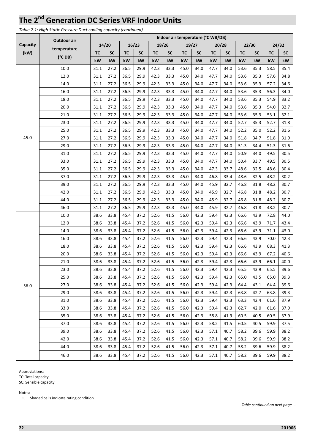*Table 7.1: High Static Pressure Duct cooling capacity (continued)* 

|          | Outdoor air      |           |           |           |           |           |           | Indoor air temperature (°C WB/DB) |           |           |           |           |           |           |           |
|----------|------------------|-----------|-----------|-----------|-----------|-----------|-----------|-----------------------------------|-----------|-----------|-----------|-----------|-----------|-----------|-----------|
| Capacity |                  |           | 14/20     |           | 16/23     |           | 18/26     |                                   | 19/27     |           | 20/28     |           | 22/30     |           | 24/32     |
| (kW)     | temperature      | <b>TC</b> | <b>SC</b> | <b>TC</b> | <b>SC</b> | <b>TC</b> | <b>SC</b> | <b>TC</b>                         | <b>SC</b> | <b>TC</b> | <b>SC</b> | <b>TC</b> | <b>SC</b> | <b>TC</b> | <b>SC</b> |
|          | $(^{\circ}C$ DB) | kW        | kW        | kW        | kW        | kW        | kW        | kW                                | kW        | kW        | kW        | kW        | kW        | kW        | kW        |
|          | 10.0             | 31.1      | 27.2      | 36.5      | 29.9      | 42.3      | 33.3      | 45.0                              | 34.0      | 47.7      | 34.0      | 53.6      | 35.3      | 58.5      | 35.4      |
|          | 12.0             | 31.1      | 27.2      | 36.5      | 29.9      | 42.3      | 33.3      | 45.0                              | 34.0      | 47.7      | 34.0      | 53.6      | 35.3      | 57.6      | 34.8      |
|          | 14.0             | 31.1      | 27.2      | 36.5      | 29.9      | 42.3      | 33.3      | 45.0                              | 34.0      | 47.7      | 34.0      | 53.6      | 35.3      | 57.2      | 34.6      |
|          | 16.0             | 31.1      | 27.2      | 36.5      | 29.9      | 42.3      | 33.3      | 45.0                              | 34.0      | 47.7      | 34.0      | 53.6      | 35.3      | 56.3      | 34.0      |
|          | 18.0             | 31.1      | 27.2      | 36.5      | 29.9      | 42.3      | 33.3      | 45.0                              | 34.0      | 47.7      | 34.0      | 53.6      | 35.3      | 54.9      | 33.2      |
|          | 20.0             | 31.1      | 27.2      | 36.5      | 29.9      | 42.3      | 33.3      | 45.0                              | 34.0      | 47.7      | 34.0      | 53.6      | 35.3      | 54.0      | 32.7      |
|          | 21.0             | 31.1      | 27.2      | 36.5      | 29.9      | 42.3      | 33.3      | 45.0                              | 34.0      | 47.7      | 34.0      | 53.6      | 35.3      | 53.1      | 32.1      |
|          | 23.0             | 31.1      | 27.2      | 36.5      | 29.9      | 42.3      | 33.3      | 45.0                              | 34.0      | 47.7      | 34.0      | 52.7      | 35.3      | 52.7      | 31.8      |
|          | 25.0             | 31.1      | 27.2      | 36.5      | 29.9      | 42.3      | 33.3      | 45.0                              | 34.0      | 47.7      | 34.0      | 52.2      | 35.0      | 52.2      | 31.6      |
| 45.0     | 27.0             | 31.1      | 27.2      | 36.5      | 29.9      | 42.3      | 33.3      | 45.0                              | 34.0      | 47.7      | 34.0      | 51.8      | 34.7      | 51.8      | 31.9      |
|          | 29.0             | 31.1      | 27.2      | 36.5      | 29.9      | 42.3      | 33.3      | 45.0                              | 34.0      | 47.7      | 34.0      | 51.3      | 34.4      | 51.3      | 31.6      |
|          | 31.0             | 31.1      | 27.2      | 36.5      | 29.9      | 42.3      | 33.3      | 45.0                              | 34.0      | 47.7      | 34.0      | 50.9      | 34.0      | 49.5      | 30.5      |
|          | 33.0             | 31.1      | 27.2      | 36.5      | 29.9      | 42.3      | 33.3      | 45.0                              | 34.0      | 47.7      | 34.0      | 50.4      | 33.7      | 49.5      | 30.5      |
|          | 35.0             | 31.1      | 27.2      | 36.5      | 29.9      | 42.3      | 33.3      | 45.0                              | 34.0      | 47.3      | 33.7      | 48.6      | 32.5      | 48.6      | 30.4      |
|          | 37.0             | 31.1      | 27.2      | 36.5      | 29.9      | 42.3      | 33.3      | 45.0                              | 34.0      | 46.8      | 33.4      | 48.6      | 32.5      | 48.2      | 30.2      |
|          | 39.0             | 31.1      | 27.2      | 36.5      | 29.9      | 42.3      | 33.3      | 45.0                              | 34.0      | 45.9      | 32.7      | 46.8      | 31.8      | 48.2      | 30.7      |
|          | 42.0             | 31.1      | 27.2      | 36.5      | 29.9      | 42.3      | 33.3      | 45.0                              | 34.0      | 45.9      | 32.7      | 46.8      | 31.8      | 48.2      | 30.7      |
|          | 44.0             | 31.1      | 27.2      | 36.5      | 29.9      | 42.3      | 33.3      | 45.0                              | 34.0      | 45.9      | 32.7      | 46.8      | 31.8      | 48.2      | 30.7      |
|          | 46.0             | 31.1      | 27.2      | 36.5      | 29.9      | 42.3      | 33.3      | 45.0                              | 34.0      | 45.9      | 32.7      | 46.8      | 31.8      | 48.2      | 30.7      |
|          | 10.0             | 38.6      | 33.8      | 45.4      | 37.2      | 52.6      | 41.5      | 56.0                              | 42.3      | 59.4      | 42.3      | 66.6      | 43.9      | 72.8      | 44.0      |
|          | 12.0             | 38.6      | 33.8      | 45.4      | 37.2      | 52.6      | 41.5      | 56.0                              | 42.3      | 59.4      | 42.3      | 66.6      | 43.9      | 71.7      | 43.4      |
|          | 14.0             | 38.6      | 33.8      | 45.4      | 37.2      | 52.6      | 41.5      | 56.0                              | 42.3      | 59.4      | 42.3      | 66.6      | 43.9      | 71.1      | 43.0      |
|          | 16.0             | 38.6      | 33.8      | 45.4      | 37.2      | 52.6      | 41.5      | 56.0                              | 42.3      | 59.4      | 42.3      | 66.6      | 43.9      | 70.0      | 42.3      |
|          | 18.0             | 38.6      | 33.8      | 45.4      | 37.2      | 52.6      | 41.5      | 56.0                              | 42.3      | 59.4      | 42.3      | 66.6      | 43.9      | 68.3      | 41.3      |
|          | 20.0             | 38.6      | 33.8      | 45.4      | 37.2      | 52.6      | 41.5      | 56.0                              | 42.3      | 59.4      | 42.3      | 66.6      | 43.9      | 67.2      | 40.6      |
|          | 21.0             | 38.6      | 33.8      | 45.4      | 37.2      | 52.6      | 41.5      | 56.0                              | 42.3      | 59.4      | 42.3      | 66.6      | 43.9      | 66.1      | 40.0      |
|          | 23.0             | 38.6      | 33.8      | 45.4      | 37.2      | 52.6      | 41.5      | 56.0                              | 42.3      | 59.4      | 42.3      | 65.5      | 43.9      | 65.5      | 39.6      |
|          | 25.0             | 38.6      | 33.8      | 45.4      | 37.2      | 52.6      | 41.5      | 56.0                              | 42.3      | 59.4      | 42.3      | 65.0      | 43.5      | 65.0      | 39.3      |
| 56.0     | 27.0             | 38.6      | 33.8      | 45.4      | 37.2      | 52.6      | 41.5      | 56.0                              | 42.3      | 59.4      | 42.3      | 64.4      | 43.1      | 64.4      | 39.6      |
|          | 29.0             | 38.6      | 33.8      | 45.4      | 37.2      | 52.6      | 41.5      | 56.0                              | 42.3      | 59.4      | 42.3      | 63.8      | 42.7      | 63.8      | 39.3      |
|          | 31.0             | 38.6      | 33.8      | 45.4      | 37.2      | 52.6      | 41.5      | 56.0                              | 42.3      | 59.4      | 42.3      | 63.3      | 42.4      | 61.6      | 37.9      |
|          | 33.0             | 38.6      | 33.8      | 45.4      | 37.2      | 52.6      | 41.5      | 56.0                              | 42.3      | 59.4      | 42.3      | 62.7      | 42.0      | 61.6      | 37.9      |
|          | 35.0             | 38.6      | 33.8      | 45.4      | 37.2      | 52.6      | 41.5      | 56.0                              | 42.3      | 58.8      | 41.9      | 60.5      | 40.5      | 60.5      | 37.9      |
|          | 37.0             | 38.6      | 33.8      | 45.4      | 37.2      | 52.6      | 41.5      | 56.0                              | 42.3      | 58.2      | 41.5      | 60.5      | 40.5      | 59.9      | 37.5      |
|          | 39.0             | 38.6      | 33.8      | 45.4      | 37.2      | 52.6      | 41.5      | 56.0                              | 42.3      | 57.1      | 40.7      | 58.2      | 39.6      | 59.9      | 38.2      |
|          | 42.0             | 38.6      | 33.8      | 45.4      | 37.2      | 52.6      | 41.5      | 56.0                              | 42.3      | 57.1      | 40.7      | 58.2      | 39.6      | 59.9      | 38.2      |
|          | 44.0             | 38.6      | 33.8      | 45.4      | 37.2      | 52.6      | 41.5      | 56.0                              | 42.3      | 57.1      | 40.7      | 58.2      | 39.6      | 59.9      | 38.2      |
|          | 46.0             | 38.6      | 33.8      | 45.4      | 37.2      | 52.6      | 41.5      | 56.0                              | 42.3      | 57.1      | 40.7      | 58.2      | 39.6      | 59.9      | 38.2      |

Abbreviations:

TC: Total capacity

SC: Sensible capacity

Notes:

1. Shaded cells indicate rating condition.

*Table continued on next page …*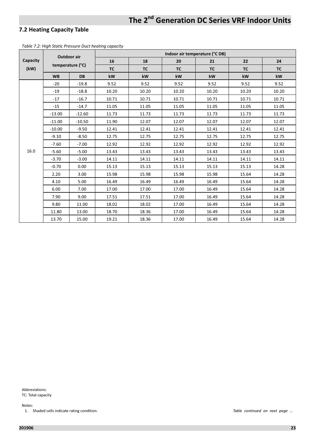#### **7.2 Heating Capacity Table**

*Table 7.2: High Static Pressure Duct heating capacity*

|          |           | Outdoor air      |           |           | Indoor air temperature (°C DB) |           |       |           |
|----------|-----------|------------------|-----------|-----------|--------------------------------|-----------|-------|-----------|
| Capacity |           |                  | 16        | 18        | 20                             | 21        | 22    | 24        |
| (kW)     |           | temperature (°C) | <b>TC</b> | <b>TC</b> | <b>TC</b>                      | <b>TC</b> | TC    | <b>TC</b> |
|          | <b>WB</b> | <b>DB</b>        | kW        | kW        | kW                             | kW        | kW    | kW        |
|          | $-20$     | $-19.8$          | 9.52      | 9.52      | 9.52                           | 9.52      | 9.52  | 9.52      |
|          | $-19$     | $-18.8$          | 10.20     | 10.20     | 10.20                          | 10.20     | 10.20 | 10.20     |
|          | $-17$     | $-16.7$          | 10.71     | 10.71     | 10.71                          | 10.71     | 10.71 | 10.71     |
|          | $-15$     | $-14.7$          | 11.05     | 11.05     | 11.05                          | 11.05     | 11.05 | 11.05     |
|          | $-13.00$  | $-12.60$         | 11.73     | 11.73     | 11.73                          | 11.73     | 11.73 | 11.73     |
|          | $-11.00$  | $-10.50$         | 11.90     | 12.07     | 12.07                          | 12.07     | 12.07 | 12.07     |
|          | $-10.00$  | $-9.50$          | 12.41     | 12.41     | 12.41                          | 12.41     | 12.41 | 12.41     |
|          | $-9.10$   | $-8.50$          | 12.75     | 12.75     | 12.75                          | 12.75     | 12.75 | 12.75     |
|          | $-7.60$   | $-7.00$          | 12.92     | 12.92     | 12.92                          | 12.92     | 12.92 | 12.92     |
| 16.0     | $-5.60$   | $-5.00$          | 13.43     | 13.43     | 13.43                          | 13.43     | 13.43 | 13.43     |
|          | $-3.70$   | $-3.00$          | 14.11     | 14.11     | 14.11                          | 14.11     | 14.11 | 14.11     |
|          | $-0.70$   | 0.00             | 15.13     | 15.13     | 15.13                          | 15.13     | 15.13 | 14.28     |
|          | 2.20      | 3.00             | 15.98     | 15.98     | 15.98                          | 15.98     | 15.64 | 14.28     |
|          | 4.10      | 5.00             | 16.49     | 16.49     | 16.49                          | 16.49     | 15.64 | 14.28     |
|          | 6.00      | 7.00             | 17.00     | 17.00     | 17.00                          | 16.49     | 15.64 | 14.28     |
|          | 7.90      | 9.00             | 17.51     | 17.51     | 17.00                          | 16.49     | 15.64 | 14.28     |
|          | 9.80      | 11.00            | 18.02     | 18.02     | 17.00                          | 16.49     | 15.64 | 14.28     |
|          | 11.80     | 13.00            | 18.70     | 18.36     | 17.00                          | 16.49     | 15.64 | 14.28     |
|          | 13.70     | 15.00            | 19.21     | 18.36     | 17.00                          | 16.49     | 15.64 | 14.28     |

Abbreviations: TC: Total capacity

Notes:

1. Shaded cells indicate rating condition. *Table continued on next page …*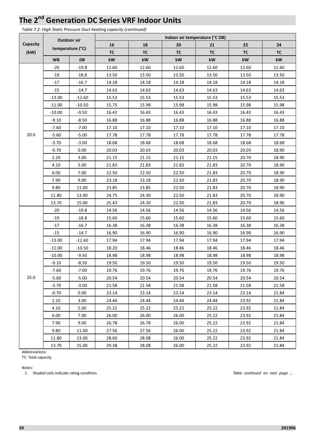*Table 7.2: High Static Pressure Duct heating capacity (continued)*

|          | Outdoor air |                  |           | Indoor air temperature (°C DB) |                |           |           |           |  |  |  |  |  |
|----------|-------------|------------------|-----------|--------------------------------|----------------|-----------|-----------|-----------|--|--|--|--|--|
| Capacity |             |                  | 16        | 18                             | 20             | 21        | 22        | 24        |  |  |  |  |  |
| (kW)     |             | temperature (°C) | <b>TC</b> | <b>TC</b>                      | <b>TC</b>      | <b>TC</b> | <b>TC</b> | <b>TC</b> |  |  |  |  |  |
|          | <b>WB</b>   | <b>DB</b>        | kW        | kW                             | kW             | kW        | kW        | kW        |  |  |  |  |  |
|          | $-20$       | $-19.8$          | 12.60     | 12.60                          | 12.60          | 12.60     | 12.60     | 12.60     |  |  |  |  |  |
|          | -19         | $-18.8$          | 13.50     | 13.50                          | 13.50          | 13.50     | 13.50     | 13.50     |  |  |  |  |  |
|          | $-17$       | $-16.7$          | 14.18     | 14.18                          | 14.18          | 14.18     | 14.18     | 14.18     |  |  |  |  |  |
|          | $-15$       | $-14.7$          | 14.63     | 14.63                          | 14.63          | 14.63     | 14.63     | 14.63     |  |  |  |  |  |
|          | $-13.00$    | $-12.60$         | 15.53     | 15.53                          | 15.53<br>15.53 |           | 15.53     | 15.53     |  |  |  |  |  |
|          | $-11.00$    | $-10.50$         | 15.75     | 15.98                          | 15.98          | 15.98     | 15.98     | 15.98     |  |  |  |  |  |
|          | $-10.00$    | $-9.50$          | 16.43     | 16.43                          | 16.43          | 16.43     | 16.43     | 16.43     |  |  |  |  |  |
|          | $-9.10$     | $-8.50$          | 16.88     | 16.88                          | 16.88          | 16.88     | 16.88     | 16.88     |  |  |  |  |  |
|          | $-7.60$     | $-7.00$          | 17.10     | 17.10                          | 17.10          | 17.10     | 17.10     | 17.10     |  |  |  |  |  |
| 20.0     | $-5.60$     | $-5.00$          | 17.78     | 17.78                          | 17.78          | 17.78     | 17.78     | 17.78     |  |  |  |  |  |
|          | $-3.70$     | $-3.00$          | 18.68     | 18.68                          | 18.68          | 18.68     | 18.68     | 18.68     |  |  |  |  |  |
|          | $-0.70$     | 0.00             | 20.03     | 20.03                          | 20.03          | 20.03     | 20.03     | 18.90     |  |  |  |  |  |
|          | 2.20        | 3.00             | 21.15     | 21.15                          | 21.15          | 21.15     | 20.70     | 18.90     |  |  |  |  |  |
|          | 4.10        | 5.00             | 21.83     | 21.83                          | 21.83          | 21.83     | 20.70     | 18.90     |  |  |  |  |  |
|          | 6.00        | 7.00             | 22.50     | 22.50                          | 22.50          | 21.83     | 20.70     | 18.90     |  |  |  |  |  |
|          | 7.90        | 9.00             | 23.18     | 23.18                          | 22.50          | 21.83     | 20.70     | 18.90     |  |  |  |  |  |
|          | 9.80        | 11.00            | 23.85     | 23.85                          | 22.50          | 21.83     | 20.70     | 18.90     |  |  |  |  |  |
|          | 11.80       | 13.00            | 24.75     | 24.30                          | 22.50          | 21.83     | 20.70     | 18.90     |  |  |  |  |  |
|          | 13.70       | 15.00            | 25.43     | 24.30                          | 22.50          | 21.83     | 20.70     | 18.90     |  |  |  |  |  |
|          | $-20$       | $-19.8$          | 14.56     | 14.56                          | 14.56          | 14.56     | 14.56     | 14.56     |  |  |  |  |  |
|          | -19         | $-18.8$          | 15.60     | 15.60                          | 15.60          | 15.60     | 15.60     | 15.60     |  |  |  |  |  |
|          | $-17$       | $-16.7$          | 16.38     | 16.38                          | 16.38          | 16.38     | 16.38     | 16.38     |  |  |  |  |  |
|          | $-15$       | $-14.7$          | 16.90     | 16.90                          | 16.90          | 16.90     | 16.90     | 16.90     |  |  |  |  |  |
|          | $-13.00$    | $-12.60$         | 17.94     | 17.94                          | 17.94          | 17.94     | 17.94     | 17.94     |  |  |  |  |  |
|          | $-11.00$    | $-10.50$         | 18.20     | 18.46                          | 18.46          | 18.46     | 18.46     | 18.46     |  |  |  |  |  |
|          | $-10.00$    | $-9.50$          | 18.98     | 18.98                          | 18.98          | 18.98     | 18.98     | 18.98     |  |  |  |  |  |
|          | $-9.10$     | $-8.50$          | 19.50     | 19.50                          | 19.50          | 19.50     | 19.50     | 19.50     |  |  |  |  |  |
|          | $-7.60$     | $-7.00$          | 19.76     | 19.76                          | 19.76          | 19.76     | 19.76     | 19.76     |  |  |  |  |  |
| 25.0     | -5.60       | $-5.00$          | 20.54     | 20.54                          | 20.54          | 20.54     | 20.54     | 20.54     |  |  |  |  |  |
|          | $-3.70$     | $-3.00$          | 21.58     | 21.58                          | 21.58          | 21.58     | 21.58     | 21.58     |  |  |  |  |  |
|          | $-0.70$     | 0.00             | 23.14     | 23.14                          | 23.14          | 23.14     | 23.14     | 21.84     |  |  |  |  |  |
|          | 2.20        | 3.00             | 24.44     | 24.44                          | 24.44          | 24.44     | 23.92     | 21.84     |  |  |  |  |  |
|          | 4.10        | 5.00             | 25.22     | 25.22                          | 25.22          | 25.22     | 23.92     | 21.84     |  |  |  |  |  |
|          | 6.00        | 7.00             | 26.00     | 26.00                          | 26.00          | 25.22     | 23.92     | 21.84     |  |  |  |  |  |
|          | 7.90        | 9.00             | 26.78     | 26.78                          | 26.00          | 25.22     | 23.92     | 21.84     |  |  |  |  |  |
|          | 9.80        | 11.00            | 27.56     | 27.56                          | 26.00          | 25.22     | 23.92     | 21.84     |  |  |  |  |  |
|          | 11.80       | 13.00            | 28.60     | 28.08                          | 26.00          | 25.22     | 23.92     | 21.84     |  |  |  |  |  |
|          | 13.70       | 15.00            | 29.38     | 28.08                          | 26.00          | 25.22     | 23.92     | 21.84     |  |  |  |  |  |

Abbreviations:

TC: Total capacity

Notes:

1. Shaded cells indicate rating condition. *Table continued on next page …*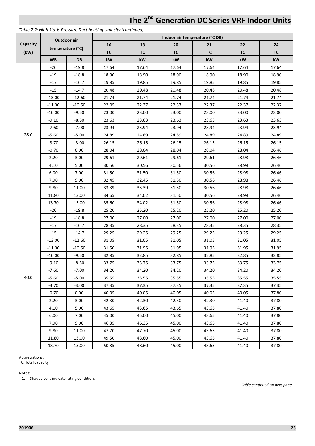|          |                  | Outdoor air |           | Indoor air temperature (°C DB) |           |           |           |           |  |  |  |  |  |
|----------|------------------|-------------|-----------|--------------------------------|-----------|-----------|-----------|-----------|--|--|--|--|--|
| Capacity |                  |             | 16        | 18                             | 20        | 21        | 22        | 24        |  |  |  |  |  |
| (kW)     | temperature (°C) |             | <b>TC</b> | <b>TC</b>                      | <b>TC</b> | <b>TC</b> | <b>TC</b> | <b>TC</b> |  |  |  |  |  |
|          | <b>WB</b>        | <b>DB</b>   | kW        | kW                             | kW        | kW        | kW        | kW        |  |  |  |  |  |
|          | $-20$            | $-19.8$     | 17.64     | 17.64                          | 17.64     | 17.64     | 17.64     | 17.64     |  |  |  |  |  |
|          | $-19$            | $-18.8$     | 18.90     | 18.90                          | 18.90     | 18.90     | 18.90     | 18.90     |  |  |  |  |  |
| 28.0     | $-17$            | $-16.7$     | 19.85     | 19.85                          | 19.85     | 19.85     | 19.85     | 19.85     |  |  |  |  |  |
|          | $-15$            | $-14.7$     | 20.48     | 20.48                          | 20.48     | 20.48     | 20.48     | 20.48     |  |  |  |  |  |
|          | $-13.00$         | $-12.60$    | 21.74     | 21.74                          | 21.74     | 21.74     | 21.74     | 21.74     |  |  |  |  |  |
|          | $-11.00$         | $-10.50$    | 22.05     | 22.37                          | 22.37     | 22.37     | 22.37     | 22.37     |  |  |  |  |  |
|          | $-10.00$         | $-9.50$     | 23.00     | 23.00                          | 23.00     | 23.00     | 23.00     | 23.00     |  |  |  |  |  |
|          | $-9.10$          | $-8.50$     | 23.63     | 23.63                          | 23.63     | 23.63     | 23.63     | 23.63     |  |  |  |  |  |
|          | $-7.60$          | $-7.00$     | 23.94     | 23.94                          | 23.94     | 23.94     | 23.94     | 23.94     |  |  |  |  |  |
|          | $-5.60$          | $-5.00$     | 24.89     | 24.89                          | 24.89     | 24.89     | 24.89     | 24.89     |  |  |  |  |  |
|          | $-3.70$          | $-3.00$     | 26.15     | 26.15                          | 26.15     | 26.15     | 26.15     | 26.15     |  |  |  |  |  |
|          | $-0.70$          | 0.00        | 28.04     | 28.04                          | 28.04     | 28.04     | 28.04     | 26.46     |  |  |  |  |  |
|          | 2.20             | 3.00        | 29.61     | 29.61                          | 29.61     | 29.61     | 28.98     | 26.46     |  |  |  |  |  |
|          | 4.10             | 5.00        | 30.56     | 30.56                          | 30.56     | 30.56     | 28.98     | 26.46     |  |  |  |  |  |
|          | 6.00             | 7.00        | 31.50     | 31.50                          | 31.50     | 30.56     | 28.98     | 26.46     |  |  |  |  |  |
|          | 7.90             | 9.00        | 32.45     | 32.45                          | 31.50     | 30.56     | 28.98     | 26.46     |  |  |  |  |  |
|          | 9.80             | 11.00       | 33.39     | 33.39                          | 31.50     | 30.56     | 28.98     | 26.46     |  |  |  |  |  |
|          | 11.80            | 13.00       | 34.65     | 34.02                          | 31.50     | 30.56     | 28.98     | 26.46     |  |  |  |  |  |
|          | 13.70            | 15.00       | 35.60     | 34.02                          | 31.50     | 30.56     | 28.98     | 26.46     |  |  |  |  |  |
|          | $-20$            | $-19.8$     | 25.20     | 25.20                          | 25.20     | 25.20     | 25.20     | 25.20     |  |  |  |  |  |
|          | -19              | $-18.8$     | 27.00     | 27.00                          | 27.00     | 27.00     | 27.00     | 27.00     |  |  |  |  |  |
|          | $-17$            | $-16.7$     | 28.35     | 28.35                          | 28.35     | 28.35     | 28.35     | 28.35     |  |  |  |  |  |
|          | $-15$            | $-14.7$     | 29.25     | 29.25                          | 29.25     | 29.25     | 29.25     | 29.25     |  |  |  |  |  |
|          | $-13.00$         | $-12.60$    | 31.05     | 31.05                          | 31.05     | 31.05     | 31.05     | 31.05     |  |  |  |  |  |
|          | $-11.00$         | $-10.50$    | 31.50     | 31.95                          | 31.95     | 31.95     | 31.95     | 31.95     |  |  |  |  |  |
|          | $-10.00$         | $-9.50$     | 32.85     | 32.85                          | 32.85     | 32.85     | 32.85     | 32.85     |  |  |  |  |  |
|          | $-9.10$          | $-8.50$     | 33.75     | 33.75                          | 33.75     | 33.75     | 33.75     | 33.75     |  |  |  |  |  |
|          | $-7.60$          | $-7.00$     | 34.20     | 34.20                          | 34.20     | 34.20     | 34.20     | 34.20     |  |  |  |  |  |
| 40.0     | $-5.60$          | $-5.00$     | 35.55     | 35.55                          | 35.55     | 35.55     | 35.55     | 35.55     |  |  |  |  |  |
|          | $-3.70$          | $-3.00$     | 37.35     | 37.35                          | 37.35     | 37.35     | 37.35     | 37.35     |  |  |  |  |  |
|          | $-0.70$          | 0.00        | 40.05     | 40.05                          | 40.05     | 40.05     | 40.05     | 37.80     |  |  |  |  |  |
|          | 2.20             | 3.00        | 42.30     | 42.30                          | 42.30     | 42.30     | 41.40     | 37.80     |  |  |  |  |  |
|          | 4.10             | 5.00        | 43.65     | 43.65                          | 43.65     | 43.65     | 41.40     | 37.80     |  |  |  |  |  |
|          | 6.00             | 7.00        | 45.00     | 45.00                          | 45.00     | 43.65     | 41.40     | 37.80     |  |  |  |  |  |
|          | 7.90             | 9.00        | 46.35     | 46.35                          | 45.00     | 43.65     | 41.40     | 37.80     |  |  |  |  |  |
|          | 9.80             | 11.00       | 47.70     | 47.70                          | 45.00     | 43.65     | 41.40     | 37.80     |  |  |  |  |  |
|          | 11.80            | 13.00       | 49.50     | 48.60                          | 45.00     | 43.65     | 41.40     | 37.80     |  |  |  |  |  |
|          | 13.70            | 15.00       | 50.85     | 48.60                          | 45.00     | 43.65     | 41.40     | 37.80     |  |  |  |  |  |

*Table 7.2: High Static Pressure Duct heating capacity (continued)*

Abbreviations:

TC: Total capacity

Notes:

1. Shaded cells indicate rating condition.

*Table continued on next page …*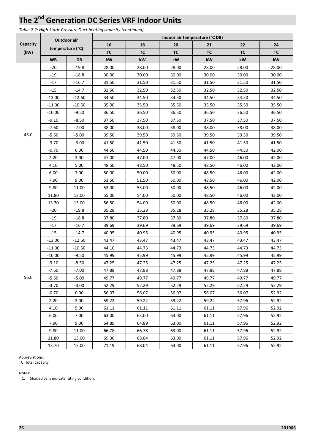*Table 7.2: High Static Pressure Duct heating capacity (continued)*

|                  | Outdoor air<br>temperature (°C) |          | Indoor air temperature (°C DB) |           |           |           |           |           |  |
|------------------|---------------------------------|----------|--------------------------------|-----------|-----------|-----------|-----------|-----------|--|
| Capacity<br>(kW) |                                 |          | 16                             | 18        | 20        | 21        | 22        | 24        |  |
|                  |                                 |          | <b>TC</b>                      | <b>TC</b> | <b>TC</b> | <b>TC</b> | <b>TC</b> | <b>TC</b> |  |
|                  | <b>WB</b>                       | DB       | kW                             | kW        | kW        | kW        | kW        | kW        |  |
|                  | $-20$                           | $-19.8$  | 28.00                          | 28.00     | 28.00     | 28.00     | 28.00     | 28.00     |  |
|                  | $-19$                           | $-18.8$  | 30.00                          | 30.00     | 30.00     | 30.00     | 30.00     | 30.00     |  |
|                  | $-17$                           | $-16.7$  | 31.50                          | 31.50     | 31.50     | 31.50     | 31.50     | 31.50     |  |
|                  | $-15$                           | $-14.7$  | 32.50                          | 32.50     | 32.50     | 32.50     | 32.50     | 32.50     |  |
|                  | $-13.00$                        | $-12.60$ | 34.50                          | 34.50     | 34.50     | 34.50     | 34.50     | 34.50     |  |
|                  | $-11.00$                        | $-10.50$ | 35.00                          | 35.50     | 35.50     | 35.50     | 35.50     | 35.50     |  |
|                  | $-10.00$                        | $-9.50$  | 36.50                          | 36.50     | 36.50     | 36.50     | 36.50     | 36.50     |  |
|                  | $-9.10$                         | $-8.50$  | 37.50                          | 37.50     | 37.50     | 37.50     | 37.50     | 37.50     |  |
|                  | $-7.60$                         | $-7.00$  | 38.00                          | 38.00     | 38.00     | 38.00     | 38.00     | 38.00     |  |
| 45.0             | $-5.60$                         | $-5.00$  | 39.50                          | 39.50     | 39.50     | 39.50     | 39.50     | 39.50     |  |
|                  | $-3.70$                         | $-3.00$  | 41.50                          | 41.50     | 41.50     | 41.50     | 41.50     | 41.50     |  |
|                  | $-0.70$                         | 0.00     | 44.50                          | 44.50     | 44.50     | 44.50     | 44.50     | 42.00     |  |
|                  | 2.20                            | 3.00     | 47.00                          | 47.00     | 47.00     | 47.00     | 46.00     | 42.00     |  |
|                  | 4.10                            | 5.00     | 48.50                          | 48.50     | 48.50     | 48.50     | 46.00     | 42.00     |  |
|                  | 6.00                            | 7.00     | 50.00                          | 50.00     | 50.00     | 48.50     | 46.00     | 42.00     |  |
|                  | 7.90                            | 9.00     | 51.50                          | 51.50     | 50.00     | 48.50     | 46.00     | 42.00     |  |
|                  | 9.80                            | 11.00    | 53.00                          | 53.00     | 50.00     | 48.50     | 46.00     | 42.00     |  |
|                  | 11.80                           | 13.00    | 55.00                          | 54.00     | 50.00     | 48.50     | 46.00     | 42.00     |  |
|                  | 13.70                           | 15.00    | 56.50                          | 54.00     | 50.00     | 48.50     | 46.00     | 42.00     |  |
|                  | -20                             | $-19.8$  | 35.28                          | 35.28     | 35.28     | 35.28     | 35.28     | 35.28     |  |
|                  | $-19$                           | $-18.8$  | 37.80                          | 37.80     | 37.80     | 37.80     | 37.80     | 37.80     |  |
|                  | $-17$                           | $-16.7$  | 39.69                          | 39.69     | 39.69     | 39.69     | 39.69     | 39.69     |  |
|                  | $-15$                           | $-14.7$  | 40.95                          | 40.95     | 40.95     | 40.95     | 40.95     | 40.95     |  |
|                  | $-13.00$                        | $-12.60$ | 43.47                          | 43.47     | 43.47     | 43.47     | 43.47     | 43.47     |  |
|                  | $-11.00$                        | $-10.50$ | 44.10                          | 44.73     | 44.73     | 44.73     | 44.73     | 44.73     |  |
|                  | $-10.00$                        | $-9.50$  | 45.99                          | 45.99     | 45.99     | 45.99     | 45.99     | 45.99     |  |
|                  | $-9.10$                         | $-8.50$  | 47.25                          | 47.25     | 47.25     | 47.25     | 47.25     | 47.25     |  |
|                  | $-7.60$                         | $-7.00$  | 47.88                          | 47.88     | 47.88     | 47.88     | 47.88     | 47.88     |  |
| 56.0             | $-5.60$                         | $-5.00$  | 49.77                          | 49.77     | 49.77     | 49.77     | 49.77     | 49.77     |  |
|                  | $-3.70$                         | $-3.00$  | 52.29                          | 52.29     | 52.29     | 52.29     | 52.29     | 52.29     |  |
|                  | $-0.70$                         | 0.00     | 56.07                          | 56.07     | 56.07     | 56.07     | 56.07     | 52.92     |  |
|                  | 2.20                            | 3.00     | 59.22                          | 59.22     | 59.22     | 59.22     | 57.96     | 52.92     |  |
|                  | 4.10                            | 5.00     | 61.11                          | 61.11     | 61.11     | 61.11     | 57.96     | 52.92     |  |
|                  | 6.00                            | 7.00     | 63.00                          | 63.00     | 63.00     | 61.11     | 57.96     | 52.92     |  |
|                  | 7.90                            | 9.00     | 64.89                          | 64.89     | 63.00     | 61.11     | 57.96     | 52.92     |  |
|                  | 9.80                            | 11.00    | 66.78                          | 66.78     | 63.00     | 61.11     | 57.96     | 52.92     |  |
|                  | 11.80                           | 13.00    | 69.30                          | 68.04     | 63.00     | 61.11     | 57.96     | 52.92     |  |
|                  | 13.70                           | 15.00    | 71.19                          | 68.04     | 63.00     | 61.11     | 57.96     | 52.92     |  |

Abbreviations:

TC: Total capacity

Notes:

1. Shaded cells indicate rating condition.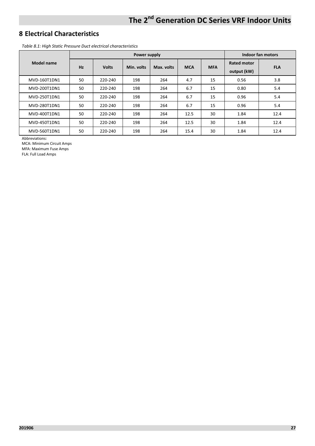## **8 Electrical Characteristics**

*Table 8.1: High Static Pressure Duct electrical characteristics* 

|              |    |              | Indoor fan motors |            |            |            |                                   |            |
|--------------|----|--------------|-------------------|------------|------------|------------|-----------------------------------|------------|
| Model name   | Hz | <b>Volts</b> | Min. volts        | Max. volts | <b>MCA</b> | <b>MFA</b> | <b>Rated motor</b><br>output (kW) | <b>FLA</b> |
| MVD-160T1DN1 | 50 | 220-240      | 198               | 264        | 4.7        | 15         | 0.56                              | 3.8        |
| MVD-200T1DN1 | 50 | 220-240      | 198               | 264        | 6.7        | 15         | 0.80                              | 5.4        |
| MVD-250T1DN1 | 50 | 220-240      | 198               | 264        | 6.7        | 15         | 0.96                              | 5.4        |
| MVD-280T1DN1 | 50 | 220-240      | 198               | 264        | 6.7        | 15         | 0.96                              | 5.4        |
| MVD-400T1DN1 | 50 | 220-240      | 198               | 264        | 12.5       | 30         | 1.84                              | 12.4       |
| MVD-450T1DN1 | 50 | 220-240      | 198               | 264        | 12.5       | 30         | 1.84                              | 12.4       |
| MVD-560T1DN1 | 50 | 220-240      | 198               | 264        | 15.4       | 30         | 1.84                              | 12.4       |

Abbreviations:

MCA: Minimum Circuit Amps MFA: Maximum Fuse Amps

FLA: Full Load Amps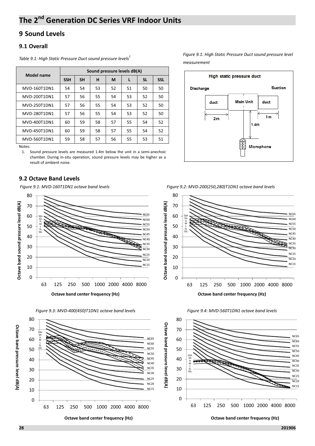## **9 Sound Levels**

#### **9.1 Overall**

| <b>Model name</b> | Sound pressure levels dB(A) |           |    |    |    |           |            |
|-------------------|-----------------------------|-----------|----|----|----|-----------|------------|
|                   | <b>SSH</b>                  | <b>SH</b> | н  | M  | L  | <b>SL</b> | <b>SSL</b> |
| MVD-160T1DN1      | 54                          | 54        | 53 | 52 | 51 | 50        | 50         |
| MVD-200T1DN1      | 57                          | 56        | 55 | 54 | 53 | 52        | 50         |
| MVD-250T1DN1      | 57                          | 56        | 55 | 54 | 53 | 52        | 50         |
| MVD-280T1DN1      | 57                          | 56        | 55 | 54 | 53 | 52        | 50         |
| MVD-400T1DN1      | 60                          | 59        | 58 | 57 | 55 | 54        | 52         |
| MVD-450T1DN1      | 60                          | 59        | 58 | 57 | 55 | 54        | 52         |
| MVD-560T1DN1      | 59                          | 58        | 57 | 56 | 55 | 53        | 51         |

Notes:

1. Sound pressure levels are measured 1.4m below the unit in a semi-anechoic chamber. During in-situ operation, sound pressure levels may be higher as a result of ambient noise.

#### **9.2 Octave Band Levels**







*Table 9.1: High Static Pressure Duct sound pressure levels<sup>1</sup> Figure 9.1: High Static Pressure Duct sound pressure level measurement* 



*Figure 9.1: MVD-160T1DN1 octave band levels Figure 9.2: MVD-200(250,280)T1DN1 octave band levels*





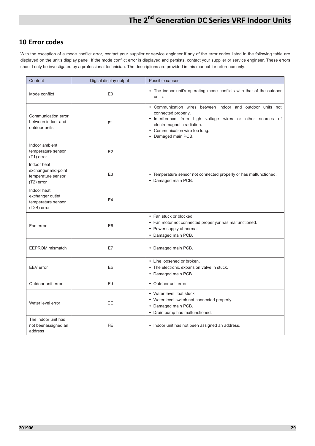### **10 Error codes**

With the exception of a mode conflict error, contact your supplier or service engineer if any of the error codes listed in the following table are displayed on the unit's display panel. If the mode conflict error is displayed and persists, contact your supplier or service engineer. These errors should only be investigated by a professional technician. The descriptions are provided in this manual for reference only.

| Content                                                                  | Digital display output | Possible causes                                                                                                                                                                                                                        |  |  |  |
|--------------------------------------------------------------------------|------------------------|----------------------------------------------------------------------------------------------------------------------------------------------------------------------------------------------------------------------------------------|--|--|--|
| Mode conflict                                                            | E <sub>0</sub>         | • The indoor unit's operating mode conflicts with that of the outdoor<br>units.                                                                                                                                                        |  |  |  |
| Communication error<br>between indoor and<br>outdoor units               | E1                     | • Communication wires between indoor and outdoor units not<br>connected properly.<br>• Interference from high voltage wires or other sources of<br>electromagnetic radiation.<br>• Communication wire too long.<br>• Damaged main PCB. |  |  |  |
| Indoor ambient<br>temperature sensor<br>$(T1)$ error                     | E2                     |                                                                                                                                                                                                                                        |  |  |  |
| Indoor heat<br>exchanger mid-point<br>temperature sensor<br>$(T2)$ error | E <sub>3</sub>         | • Temperature sensor not connected properly or has malfunctioned.<br>• Damaged main PCB.                                                                                                                                               |  |  |  |
| Indoor heat<br>exchanger outlet<br>temperature sensor<br>(T2B) error     | E <sub>4</sub>         |                                                                                                                                                                                                                                        |  |  |  |
| Fan error                                                                | E <sub>6</sub>         | • Fan stuck or blocked.<br>• Fan motor not connected properlyor has malfunctioned.<br>• Power supply abnormal.<br>• Damaged main PCB.                                                                                                  |  |  |  |
| <b>EEPROM</b> mismatch                                                   | E7                     | • Damaged main PCB.                                                                                                                                                                                                                    |  |  |  |
| EEV error                                                                | Eb                     | • Line loosened or broken.<br>• The electronic expansion valve in stuck.<br>• Damaged main PCB.                                                                                                                                        |  |  |  |
| Outdoor unit error                                                       | Ed                     | • Outdoor unit error.                                                                                                                                                                                                                  |  |  |  |
| Water level error                                                        | <b>EE</b>              | • Water level float stuck.<br>• Water level switch not connected properly.<br>• Damaged main PCB.<br>• Drain pump has malfunctioned.                                                                                                   |  |  |  |
| The indoor unit has<br>not beenassigned an<br>address                    | <b>FE</b>              | • Indoor unit has not been assigned an address.                                                                                                                                                                                        |  |  |  |